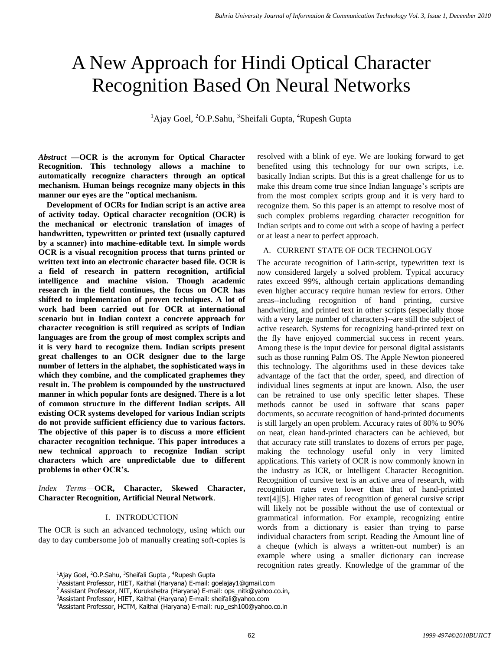# A New Approach for Hindi Optical Character Recognition Based On Neural Networks

<sup>1</sup>Ajay Goel, <sup>2</sup>O.P.Sahu, <sup>3</sup>Sheifali Gupta, <sup>4</sup>Rupesh Gupta

*Abstract* **—OCR is the acronym for Optical Character Recognition. This technology allows a machine to automatically recognize characters through an optical mechanism. Human beings recognize many objects in this manner our eyes are the "optical mechanism.**

**Development of OCRs for Indian script is an active area of activity today. Optical character recognition (OCR) is the mechanical or electronic translation of images of handwritten, typewritten or printed text (usually captured by a scanner) into machine-editable text. In simple words OCR is a visual recognition process that turns printed or written text into an electronic character based file. OCR is a field of research in pattern recognition, artificial intelligence and machine vision. Though academic research in the field continues, the focus on OCR has shifted to implementation of proven techniques. A lot of work had been carried out for OCR at international scenario but in Indian context a concrete approach for character recognition is still required as scripts of Indian languages are from the group of most complex scripts and it is very hard to recognize them. Indian scripts present great challenges to an OCR designer due to the large number of letters in the alphabet, the sophisticated ways in which they combine, and the complicated graphemes they result in. The problem is compounded by the unstructured manner in which popular fonts are designed. There is a lot of common structure in the different Indian scripts. All existing OCR systems developed for various Indian scripts do not provide sufficient efficiency due to various factors. The objective of this paper is to discuss a more efficient character recognition technique. This paper introduces a new technical approach to recognize Indian script characters which are unpredictable due to different problems in other OCR's.**

*Index Terms*—**OCR, Character, Skewed Character, Character Recognition, Artificial Neural Network**.

## I. INTRODUCTION

The OCR is such an advanced technology, using which our day to day cumbersome job of manually creating soft-copies is

resolved with a blink of eye. We are looking forward to get benefited using this technology for our own scripts, i.e. basically Indian scripts. But this is a great challenge for us to make this dream come true since Indian language's scripts are from the most complex scripts group and it is very hard to recognize them. So this paper is an attempt to resolve most of such complex problems regarding character recognition for Indian scripts and to come out with a scope of having a perfect or at least a near to perfect approach.

## A. CURRENT STATE OF OCR TECHNOLOGY

The accurate recognition of Latin-script, typewritten text is now considered largely a solved problem. Typical accuracy rates exceed 99%, although certain applications demanding even higher accuracy require human review for errors. Other areas--including recognition of hand printing, cursive handwriting, and printed text in other scripts (especially those with a very large number of characters)--are still the subject of active research. Systems for recognizing hand-printed text on the fly have enjoyed commercial success in recent years. Among these is the input device for personal digital assistants such as those running Palm OS. The Apple Newton pioneered this technology. The algorithms used in these devices take advantage of the fact that the order, speed, and direction of individual lines segments at input are known. Also, the user can be retrained to use only specific letter shapes. These methods cannot be used in software that scans paper documents, so accurate recognition of hand-printed documents is still largely an open problem. Accuracy rates of 80% to 90% on neat, clean hand-printed characters can be achieved, but that accuracy rate still translates to dozens of errors per page, making the technology useful only in very limited applications. This variety of OCR is now commonly known in the industry as ICR, or Intelligent Character Recognition. Recognition of cursive text is an active area of research, with recognition rates even lower than that of hand-printed text[4][5]. Higher rates of recognition of general cursive script will likely not be possible without the use of contextual or grammatical information. For example, recognizing entire words from a dictionary is easier than trying to parse individual characters from script. Reading the Amount line of a cheque (which is always a written-out number) is an example where using a smaller dictionary can increase recognition rates greatly. Knowledge of the grammar of the

<sup>&</sup>lt;sup>1</sup>Ajay Goel, <sup>2</sup>O.P.Sahu, <sup>3</sup>Sheifali Gupta , <sup>4</sup>Rupesh Gupta

<sup>1</sup>Assistant Professor, HIET, Kaithal (Haryana) E-mail: goelajay1@gmail.com

<sup>&</sup>lt;sup>2</sup> Assistant Professor, NIT, Kurukshetra (Haryana) E-mail: ops\_nitk@yahoo.co.in,

<sup>3</sup>Assistant Professor, HIET, Kaithal (Haryana) E-mail: sheifali@yahoo.com

<sup>4</sup>Assistant Professor, HCTM, Kaithal (Haryana) E-mail: rup\_esh100@yahoo.co.in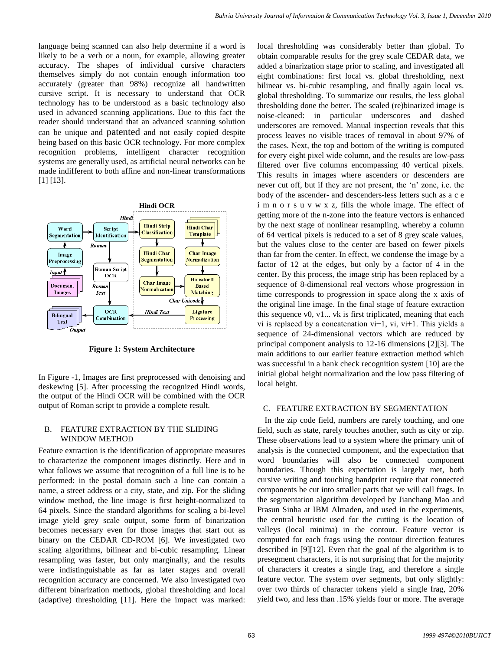language being scanned can also help determine if a word is likely to be a verb or a noun, for example, allowing greater accuracy. The shapes of individual cursive characters themselves simply do not contain enough information too accurately (greater than 98%) recognize all handwritten cursive script. It is necessary to understand that OCR technology has to be understood as a basic technology also used in advanced scanning applications. Due to this fact the reader should understand that an advanced scanning solution can be unique and patented and not easily copied despite being based on this basic OCR technology. For more complex recognition problems, intelligent character recognition systems are generally used, as artificial neural networks can be made indifferent to both affine and non-linear transformations [1] [13].



**Figure 1: System Architecture**

In Figure -1, Images are first preprocessed with denoising and deskewing [5]. After processing the recognized Hindi words, the output of the Hindi OCR will be combined with the OCR output of Roman script to provide a complete result.

## B. FEATURE EXTRACTION BY THE SLIDING WINDOW METHOD

Feature extraction is the identification of appropriate measures to characterize the component images distinctly. Here and in what follows we assume that recognition of a full line is to be performed: in the postal domain such a line can contain a name, a street address or a city, state, and zip. For the sliding window method, the line image is first height-normalized to 64 pixels. Since the standard algorithms for scaling a bi-level image yield grey scale output, some form of binarization becomes necessary even for those images that start out as binary on the CEDAR CD-ROM [6]. We investigated two scaling algorithms, bilinear and bi-cubic resampling. Linear resampling was faster, but only marginally, and the results were indistinguishable as far as later stages and overall recognition accuracy are concerned. We also investigated two different binarization methods, global thresholding and local (adaptive) thresholding [11]. Here the impact was marked:

local thresholding was considerably better than global. To obtain comparable results for the grey scale CEDAR data, we added a binarization stage prior to scaling, and investigated all eight combinations: first local vs. global thresholding, next bilinear vs. bi-cubic resampling, and finally again local vs. global thresholding. To summarize our results, the less global thresholding done the better. The scaled (re)binarized image is noise-cleaned: in particular underscores and dashed underscores are removed. Manual inspection reveals that this process leaves no visible traces of removal in about 97% of the cases. Next, the top and bottom of the writing is computed for every eight pixel wide column, and the results are low-pass filtered over five columns encompassing 40 vertical pixels. This results in images where ascenders or descenders are never cut off, but if they are not present, the "n" zone, i.e. the body of the ascender- and descenders-less letters such as a c e i m n o r s u v w x z, fills the whole image. The effect of getting more of the n-zone into the feature vectors is enhanced by the next stage of nonlinear resampling, whereby a column of 64 vertical pixels is reduced to a set of 8 grey scale values, but the values close to the center are based on fewer pixels than far from the center. In effect, we condense the image by a factor of 12 at the edges, but only by a factor of 4 in the center. By this process, the image strip has been replaced by a sequence of 8-dimensional real vectors whose progression in time corresponds to progression in space along the x axis of the original line image. In the final stage of feature extraction this sequence v0, v1... vk is first triplicated, meaning that each vi is replaced by a concatenation vi−1, vi, vi+1. This yields a sequence of 24-dimensional vectors which are reduced by principal component analysis to 12-16 dimensions [2][3]. The main additions to our earlier feature extraction method which was successful in a bank check recognition system [10] are the initial global height normalization and the low pass filtering of local height.

# C. FEATURE EXTRACTION BY SEGMENTATION

In the zip code field, numbers are rarely touching, and one field, such as state, rarely touches another, such as city or zip. These observations lead to a system where the primary unit of analysis is the connected component, and the expectation that word boundaries will also be connected component boundaries. Though this expectation is largely met, both cursive writing and touching handprint require that connected components be cut into smaller parts that we will call frags. In the segmentation algorithm developed by Jianchang Mao and Prasun Sinha at IBM Almaden, and used in the experiments, the central heuristic used for the cutting is the location of valleys (local minima) in the contour. Feature vector is computed for each frags using the contour direction features described in [9][12]. Even that the goal of the algorithm is to presegment characters, it is not surprising that for the majority of characters it creates a single frag, and therefore a single feature vector. The system over segments, but only slightly: over two thirds of character tokens yield a single frag, 20% yield two, and less than .15% yields four or more. The average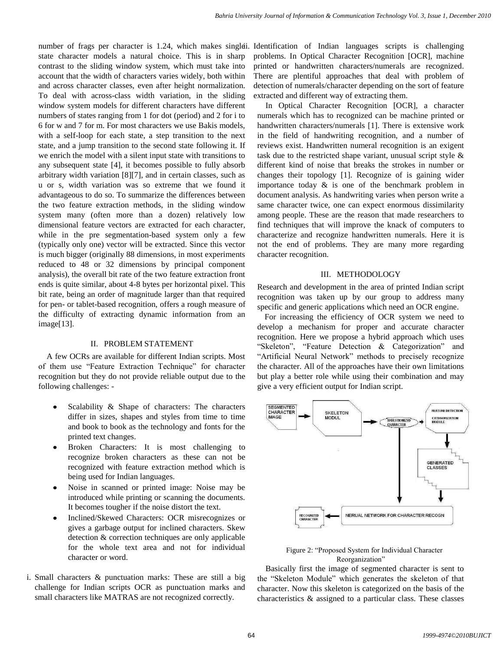state character models a natural choice. This is in sharp contrast to the sliding window system, which must take into account that the width of characters varies widely, both within and across character classes, even after height normalization. To deal with across-class width variation, in the sliding window system models for different characters have different numbers of states ranging from 1 for dot (period) and 2 for i to 6 for w and 7 for m. For most characters we use Bakis models, with a self-loop for each state, a step transition to the next state, and a jump transition to the second state following it. If we enrich the model with a silent input state with transitions to any subsequent state [4], it becomes possible to fully absorb arbitrary width variation [8][7], and in certain classes, such as u or s, width variation was so extreme that we found it advantageous to do so. To summarize the differences between the two feature extraction methods, in the sliding window system many (often more than a dozen) relatively low dimensional feature vectors are extracted for each character, while in the pre segmentation-based system only a few (typically only one) vector will be extracted. Since this vector is much bigger (originally 88 dimensions, in most experiments reduced to 48 or 32 dimensions by principal component analysis), the overall bit rate of the two feature extraction front ends is quite similar, about 4-8 bytes per horizontal pixel. This bit rate, being an order of magnitude larger than that required for pen- or tablet-based recognition, offers a rough measure of the difficulty of extracting dynamic information from an image[13].

# II. PROBLEM STATEMENT

A few OCRs are available for different Indian scripts. Most of them use "Feature Extraction Technique" for character recognition but they do not provide reliable output due to the following challenges: -

- Scalability & Shape of characters: The characters differ in sizes, shapes and styles from time to time and book to book as the technology and fonts for the printed text changes.
- Broken Characters: It is most challenging to recognize broken characters as these can not be recognized with feature extraction method which is being used for Indian languages.
- Noise in scanned or printed image: Noise may be introduced while printing or scanning the documents. It becomes tougher if the noise distort the text.
- Inclined/Skewed Characters: OCR misrecognizes or gives a garbage output for inclined characters. Skew detection & correction techniques are only applicable for the whole text area and not for individual character or word.
- i. Small characters & punctuation marks: These are still a big challenge for Indian scripts OCR as punctuation marks and small characters like MATRAS are not recognized correctly.

number of frags per character is 1.24, which makes singlei. Identification of Indian languages scripts is challenging problems. In Optical Character Recognition [OCR], machine printed or handwritten characters/numerals are recognized. There are plentiful approaches that deal with problem of detection of numerals/character depending on the sort of feature extracted and different way of extracting them.

> In Optical Character Recognition [OCR], a character numerals which has to recognized can be machine printed or handwritten characters/numerals [1]. There is extensive work in the field of handwriting recognition, and a number of reviews exist. Handwritten numeral recognition is an exigent task due to the restricted shape variant, unusual script style & different kind of noise that breaks the strokes in number or changes their topology [1]. Recognize of is gaining wider importance today & is one of the benchmark problem in document analysis. As handwriting varies when person write a same character twice, one can expect enormous dissimilarity among people. These are the reason that made researchers to find techniques that will improve the knack of computers to characterize and recognize handwritten numerals. Here it is not the end of problems. They are many more regarding character recognition.

#### III. METHODOLOGY

Research and development in the area of printed Indian script recognition was taken up by our group to address many specific and generic applications which need an OCR engine.

For increasing the efficiency of OCR system we need to develop a mechanism for proper and accurate character recognition. Here we propose a hybrid approach which uses "Skeleton", "Feature Detection & Categorization" and "Artificial Neural Network" methods to precisely recognize the character. All of the approaches have their own limitations but play a better role while using their combination and may give a very efficient output for Indian script.



Figure 2: "Proposed System for Individual Character Reorganization"

Basically first the image of segmented character is sent to the "Skeleton Module" which generates the skeleton of that character. Now this skeleton is categorized on the basis of the characteristics & assigned to a particular class. These classes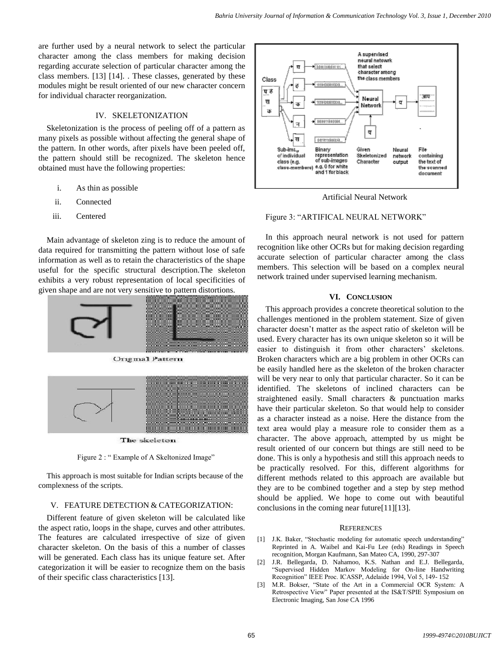are further used by a neural network to select the particular character among the class members for making decision regarding accurate selection of particular character among the class members. [13] [14]. . These classes, generated by these modules might be result oriented of our new character concern for individual character reorganization.

### IV. SKELETONIZATION

Skeletonization is the process of peeling off of a pattern as many pixels as possible without affecting the general shape of the pattern. In other words, after pixels have been peeled off, the pattern should still be recognized. The skeleton hence obtained must have the following properties:

- i. As thin as possible
- ii. Connected
- iii. Centered

Main advantage of skeleton zing is to reduce the amount of data required for transmitting the pattern without lose of safe information as well as to retain the characteristics of the shape useful for the specific structural description.The skeleton exhibits a very robust representation of local specificities of given shape and are not very sensitive to pattern distortions.





The skeleton

Figure 2 : "Example of A Skeltonized Image"

This approach is most suitable for Indian scripts because of the complexness of the scripts.

#### V. FEATURE DETECTION & CATEGORIZATION:

Different feature of given skeleton will be calculated like the aspect ratio, loops in the shape, curves and other attributes. The features are calculated irrespective of size of given character skeleton. On the basis of this a number of classes will be generated. Each class has its unique feature set. After categorization it will be easier to recognize them on the basis of their specific class characteristics [13].



Artificial Neural Network

#### Figure 3: "ARTIFICAL NEURAL NETWORK"

In this approach neural network is not used for pattern recognition like other OCRs but for making decision regarding accurate selection of particular character among the class members. This selection will be based on a complex neural network trained under supervised learning mechanism.

#### **VI. CONCLUSION**

This approach provides a concrete theoretical solution to the challenges mentioned in the problem statement. Size of given character doesn"t matter as the aspect ratio of skeleton will be used. Every character has its own unique skeleton so it will be easier to distinguish it from other characters' skeletons. Broken characters which are a big problem in other OCRs can be easily handled here as the skeleton of the broken character will be very near to only that particular character. So it can be identified. The skeletons of inclined characters can be straightened easily. Small characters & punctuation marks have their particular skeleton. So that would help to consider as a character instead as a noise. Here the distance from the text area would play a measure role to consider them as a character. The above approach, attempted by us might be result oriented of our concern but things are still need to be done. This is only a hypothesis and still this approach needs to be practically resolved. For this, different algorithms for different methods related to this approach are available but they are to be combined together and a step by step method should be applied. We hope to come out with beautiful conclusions in the coming near future[11][13].

#### **REFERENCES**

- [1] J.K. Baker, "Stochastic modeling for automatic speech understanding" Reprinted in A. Waibel and Kai-Fu Lee (eds) Readings in Speech recognition, Morgan Kaufmann, San Mateo CA, 1990, 297-307
- [2] J.R. Bellegarda, D. Nahamoo, K.S. Nathan and E.J. Bellegarda, "Supervised Hidden Markov Modeling for On-line Handwriting Recognition" IEEE Proc. ICASSP, Adelaide 1994, Vol 5, 149- 152
- [3] M.R. Bokser, "State of the Art in a Commercial OCR System: A Retrospective View" Paper presented at the IS&T/SPIE Symposium on Electronic Imaging, San Jose CA 1996